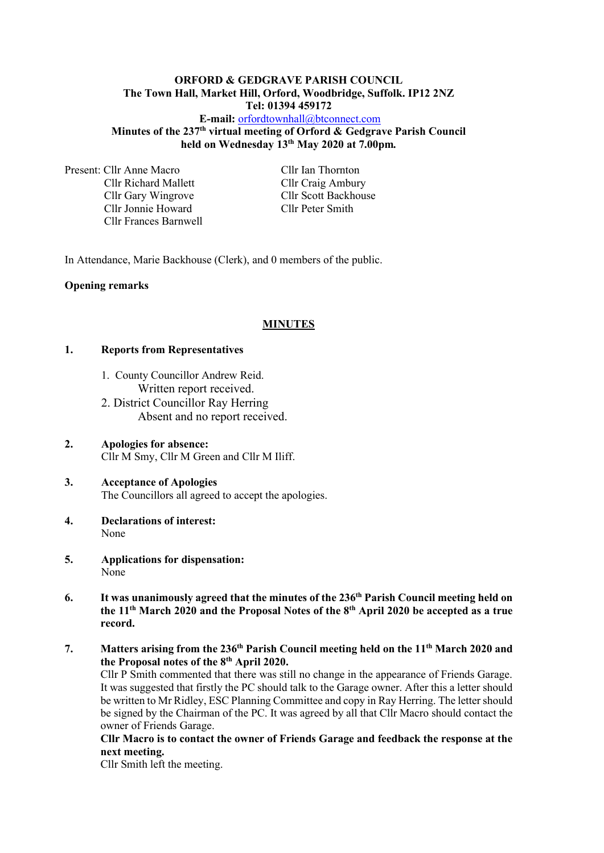## **ORFORD & GEDGRAVE PARISH COUNCIL The Town Hall, Market Hill, Orford, Woodbridge, Suffolk. IP12 2NZ Tel: 01394 459172**

**E-mail:** [orfordtownhall@btconnect.com](mailto:orfordtownhall@btconnect.com) **Minutes of the 237 th virtual meeting of Orford & Gedgrave Parish Council held on Wednesday 13 th May 2020 at 7.00pm***.*

Present: Cllr Anne Macro Cllr Ian Thornton Cllr Richard Mallett Cllr Craig Ambury Cllr Gary Wingrove Cllr Scott Backhouse Cllr Jonnie Howard Cllr Peter Smith Cllr Frances Barnwell

In Attendance, Marie Backhouse (Clerk), and 0 members of the public.

#### **Opening remarks**

#### **MINUTES**

#### **1. Reports from Representatives**

- 1. County Councillor Andrew Reid. Written report received.
- 2. District Councillor Ray Herring Absent and no report received.
- **2. Apologies for absence:** Cllr M Smy, Cllr M Green and Cllr M Iliff.
- **3. Acceptance of Apologies** The Councillors all agreed to accept the apologies.
- **4. Declarations of interest:** None
- **5. Applications for dispensation:** None
- **6. It was unanimously agreed that the minutes of the 236 th Parish Council meeting held on the 11 th March 2020 and the Proposal Notes of the 8th April 2020 be accepted as a true record.**
- **7. Matters arising from the 236 th Parish Council meeting held on the 11 th March 2020 and the Proposal notes of the 8th April 2020.**

Cllr P Smith commented that there was still no change in the appearance of Friends Garage. It was suggested that firstly the PC should talk to the Garage owner. After this a letter should be written to Mr Ridley, ESC Planning Committee and copy in Ray Herring. The letter should be signed by the Chairman of the PC. It was agreed by all that Cllr Macro should contact the owner of Friends Garage.

#### **Cllr Macro is to contact the owner of Friends Garage and feedback the response at the next meeting.**

Cllr Smith left the meeting.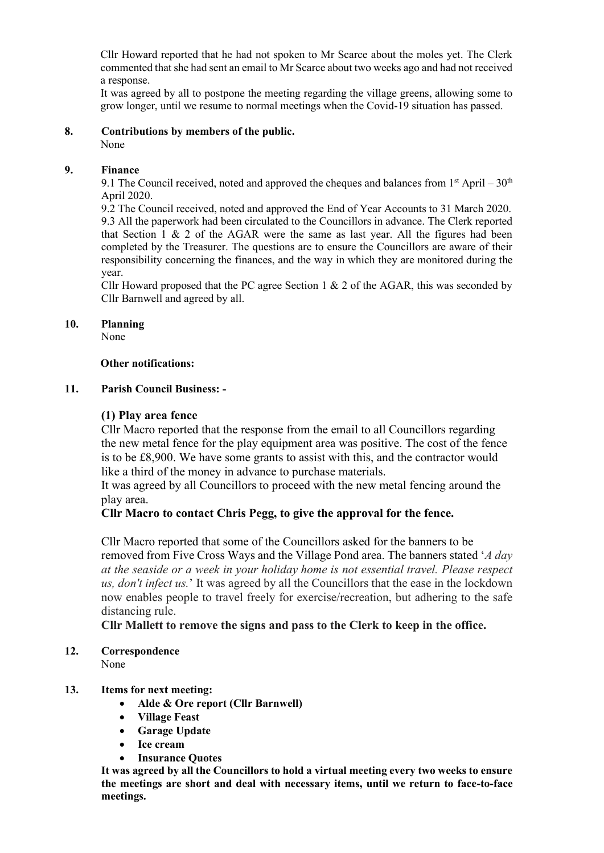Cllr Howard reported that he had not spoken to Mr Scarce about the moles yet. The Clerk commented that she had sent an email to Mr Scarce about two weeks ago and had not received a response.

It was agreed by all to postpone the meeting regarding the village greens, allowing some to grow longer, until we resume to normal meetings when the Covid-19 situation has passed.

# **8. Contributions by members of the public.**

None

# **9. Finance**

9.1 The Council received, noted and approved the cheques and balances from  $1<sup>st</sup>$  April –  $30<sup>th</sup>$ April 2020.

9.2 The Council received, noted and approved the End of Year Accounts to 31 March 2020. 9.3 All the paperwork had been circulated to the Councillors in advance. The Clerk reported that Section  $\overline{1} \& 2$  of the AGAR were the same as last year. All the figures had been completed by the Treasurer. The questions are to ensure the Councillors are aware of their responsibility concerning the finances, and the way in which they are monitored during the year.

Cllr Howard proposed that the PC agree Section 1 & 2 of the AGAR, this was seconded by Cllr Barnwell and agreed by all.

## **10. Planning**

None

## **Other notifications:**

## **11. Parish Council Business: -**

# **(1) Play area fence**

Cllr Macro reported that the response from the email to all Councillors regarding the new metal fence for the play equipment area was positive. The cost of the fence is to be £8,900. We have some grants to assist with this, and the contractor would like a third of the money in advance to purchase materials.

It was agreed by all Councillors to proceed with the new metal fencing around the play area.

# **Cllr Macro to contact Chris Pegg, to give the approval for the fence.**

Cllr Macro reported that some of the Councillors asked for the banners to be removed from Five Cross Ways and the Village Pond area. The banners stated '*A day at the seaside or a week in your holiday home is not essential travel. Please respect us, don't infect us.*' It was agreed by all the Councillors that the ease in the lockdown now enables people to travel freely for exercise/recreation, but adhering to the safe distancing rule.

**Cllr Mallett to remove the signs and pass to the Clerk to keep in the office.**

# **12. Correspondence**

None

# **13. Items for next meeting:**

- **Alde & Ore report (Cllr Barnwell)**
- **Village Feast**
- **Garage Update**
- **Ice cream**
- **Insurance Quotes**

**It was agreed by all the Councillors to hold a virtual meeting every two weeks to ensure the meetings are short and deal with necessary items, until we return to face-to-face meetings.**